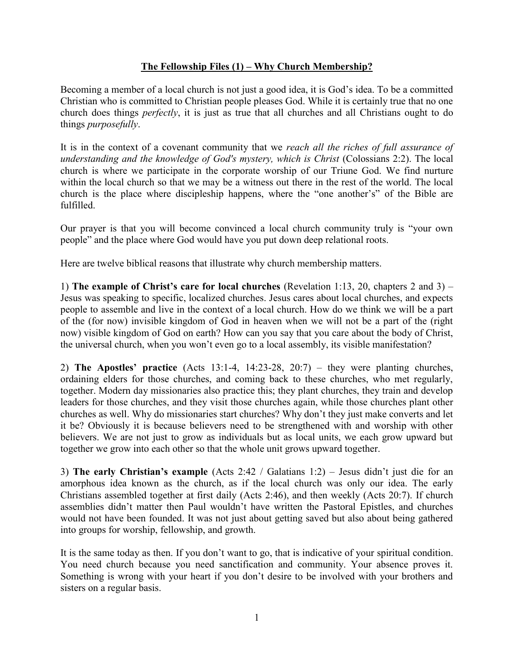## **The Fellowship Files (1) – Why Church Membership?**

Becoming a member of a local church is not just a good idea, it is God's idea. To be a committed Christian who is committed to Christian people pleases God. While it is certainly true that no one church does things *perfectly*, it is just as true that all churches and all Christians ought to do things *purposefully*.

It is in the context of a covenant community that we *reach all the riches of full assurance of understanding and the knowledge of God's mystery, which is Christ* (Colossians 2:2). The local church is where we participate in the corporate worship of our Triune God. We find nurture within the local church so that we may be a witness out there in the rest of the world. The local church is the place where discipleship happens, where the "one another's" of the Bible are fulfilled.

Our prayer is that you will become convinced a local church community truly is "your own people" and the place where God would have you put down deep relational roots.

Here are twelve biblical reasons that illustrate why church membership matters.

1) **The example of Christ's care for local churches** (Revelation 1:13, 20, chapters 2 and 3) – Jesus was speaking to specific, localized churches. Jesus cares about local churches, and expects people to assemble and live in the context of a local church. How do we think we will be a part of the (for now) invisible kingdom of God in heaven when we will not be a part of the (right now) visible kingdom of God on earth? How can you say that you care about the body of Christ, the universal church, when you won't even go to a local assembly, its visible manifestation?

2) **The Apostles' practice** (Acts 13:1-4, 14:23-28, 20:7) – they were planting churches, ordaining elders for those churches, and coming back to these churches, who met regularly, together. Modern day missionaries also practice this; they plant churches, they train and develop leaders for those churches, and they visit those churches again, while those churches plant other churches as well. Why do missionaries start churches? Why don't they just make converts and let it be? Obviously it is because believers need to be strengthened with and worship with other believers. We are not just to grow as individuals but as local units, we each grow upward but together we grow into each other so that the whole unit grows upward together.

3) **The early Christian's example** (Acts 2:42 / Galatians 1:2) – Jesus didn't just die for an amorphous idea known as the church, as if the local church was only our idea. The early Christians assembled together at first daily (Acts 2:46), and then weekly (Acts 20:7). If church assemblies didn't matter then Paul wouldn't have written the Pastoral Epistles, and churches would not have been founded. It was not just about getting saved but also about being gathered into groups for worship, fellowship, and growth.

It is the same today as then. If you don't want to go, that is indicative of your spiritual condition. You need church because you need sanctification and community. Your absence proves it. Something is wrong with your heart if you don't desire to be involved with your brothers and sisters on a regular basis.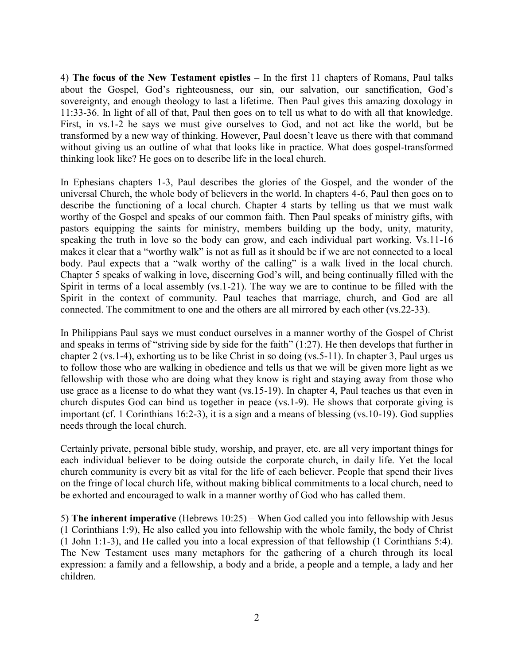4) **The focus of the New Testament epistles –** In the first 11 chapters of Romans, Paul talks about the Gospel, God's righteousness, our sin, our salvation, our sanctification, God's sovereignty, and enough theology to last a lifetime. Then Paul gives this amazing doxology in 11:33-36. In light of all of that, Paul then goes on to tell us what to do with all that knowledge. First, in vs.1-2 he says we must give ourselves to God, and not act like the world, but be transformed by a new way of thinking. However, Paul doesn't leave us there with that command without giving us an outline of what that looks like in practice. What does gospel-transformed thinking look like? He goes on to describe life in the local church.

In Ephesians chapters 1-3, Paul describes the glories of the Gospel, and the wonder of the universal Church, the whole body of believers in the world. In chapters 4-6, Paul then goes on to describe the functioning of a local church. Chapter 4 starts by telling us that we must walk worthy of the Gospel and speaks of our common faith. Then Paul speaks of ministry gifts, with pastors equipping the saints for ministry, members building up the body, unity, maturity, speaking the truth in love so the body can grow, and each individual part working. Vs.11-16 makes it clear that a "worthy walk" is not as full as it should be if we are not connected to a local body. Paul expects that a "walk worthy of the calling" is a walk lived in the local church. Chapter 5 speaks of walking in love, discerning God's will, and being continually filled with the Spirit in terms of a local assembly (vs.1-21). The way we are to continue to be filled with the Spirit in the context of community. Paul teaches that marriage, church, and God are all connected. The commitment to one and the others are all mirrored by each other (vs.22-33).

In Philippians Paul says we must conduct ourselves in a manner worthy of the Gospel of Christ and speaks in terms of "striving side by side for the faith" (1:27). He then develops that further in chapter 2 (vs.1-4), exhorting us to be like Christ in so doing (vs.5-11). In chapter 3, Paul urges us to follow those who are walking in obedience and tells us that we will be given more light as we fellowship with those who are doing what they know is right and staying away from those who use grace as a license to do what they want (vs.15-19). In chapter 4, Paul teaches us that even in church disputes God can bind us together in peace (vs.1-9). He shows that corporate giving is important (cf. 1 Corinthians 16:2-3), it is a sign and a means of blessing (vs.10-19). God supplies needs through the local church.

Certainly private, personal bible study, worship, and prayer, etc. are all very important things for each individual believer to be doing outside the corporate church, in daily life. Yet the local church community is every bit as vital for the life of each believer. People that spend their lives on the fringe of local church life, without making biblical commitments to a local church, need to be exhorted and encouraged to walk in a manner worthy of God who has called them.

5) **The inherent imperative** (Hebrews 10:25) – When God called you into fellowship with Jesus (1 Corinthians 1:9), He also called you into fellowship with the whole family, the body of Christ (1 John 1:1-3), and He called you into a local expression of that fellowship (1 Corinthians 5:4). The New Testament uses many metaphors for the gathering of a church through its local expression: a family and a fellowship, a body and a bride, a people and a temple, a lady and her children.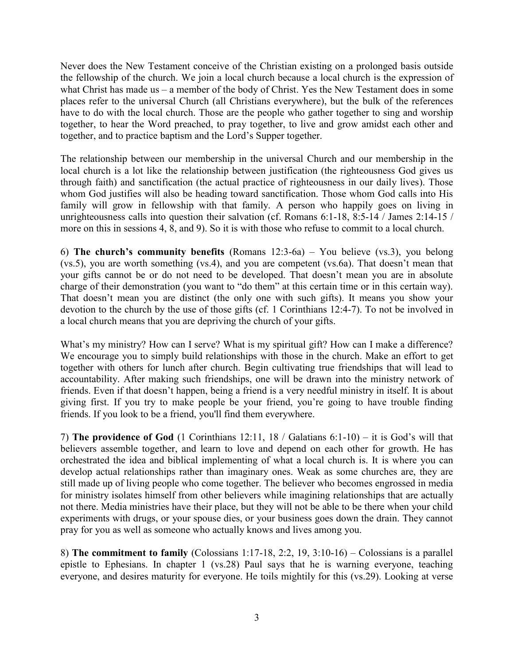Never does the New Testament conceive of the Christian existing on a prolonged basis outside the fellowship of the church. We join a local church because a local church is the expression of what Christ has made us – a member of the body of Christ. Yes the New Testament does in some places refer to the universal Church (all Christians everywhere), but the bulk of the references have to do with the local church. Those are the people who gather together to sing and worship together, to hear the Word preached, to pray together, to live and grow amidst each other and together, and to practice baptism and the Lord's Supper together.

The relationship between our membership in the universal Church and our membership in the local church is a lot like the relationship between justification (the righteousness God gives us through faith) and sanctification (the actual practice of righteousness in our daily lives). Those whom God justifies will also be heading toward sanctification. Those whom God calls into His family will grow in fellowship with that family. A person who happily goes on living in unrighteousness calls into question their salvation (cf. Romans 6:1-18, 8:5-14 / James 2:14-15 / more on this in sessions 4, 8, and 9). So it is with those who refuse to commit to a local church.

6) **The church's community benefits** (Romans 12:3-6a) – You believe (vs.3), you belong (vs.5), you are worth something (vs.4), and you are competent (vs.6a). That doesn't mean that your gifts cannot be or do not need to be developed. That doesn't mean you are in absolute charge of their demonstration (you want to "do them" at this certain time or in this certain way). That doesn't mean you are distinct (the only one with such gifts). It means you show your devotion to the church by the use of those gifts (cf. 1 Corinthians 12:4-7). To not be involved in a local church means that you are depriving the church of your gifts.

What's my ministry? How can I serve? What is my spiritual gift? How can I make a difference? We encourage you to simply build relationships with those in the church. Make an effort to get together with others for lunch after church. Begin cultivating true friendships that will lead to accountability. After making such friendships, one will be drawn into the ministry network of friends. Even if that doesn't happen, being a friend is a very needful ministry in itself. It is about giving first. If you try to make people be your friend, you're going to have trouble finding friends. If you look to be a friend, you'll find them everywhere.

7) **The providence of God** (1 Corinthians 12:11, 18 / Galatians 6:1-10) – it is God's will that believers assemble together, and learn to love and depend on each other for growth. He has orchestrated the idea and biblical implementing of what a local church is. It is where you can develop actual relationships rather than imaginary ones. Weak as some churches are, they are still made up of living people who come together. The believer who becomes engrossed in media for ministry isolates himself from other believers while imagining relationships that are actually not there. Media ministries have their place, but they will not be able to be there when your child experiments with drugs, or your spouse dies, or your business goes down the drain. They cannot pray for you as well as someone who actually knows and lives among you.

8) **The commitment to family** (Colossians 1:17-18, 2:2, 19, 3:10-16) – Colossians is a parallel epistle to Ephesians. In chapter 1 (vs.28) Paul says that he is warning everyone, teaching everyone, and desires maturity for everyone. He toils mightily for this (vs.29). Looking at verse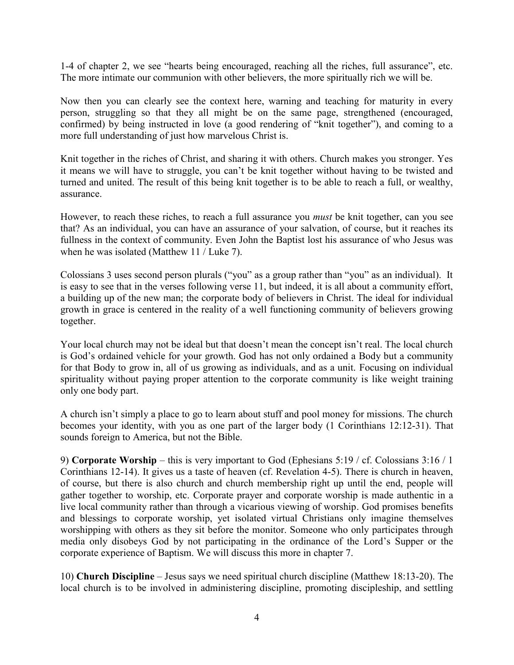1-4 of chapter 2, we see "hearts being encouraged, reaching all the riches, full assurance", etc. The more intimate our communion with other believers, the more spiritually rich we will be.

Now then you can clearly see the context here, warning and teaching for maturity in every person, struggling so that they all might be on the same page, strengthened (encouraged, confirmed) by being instructed in love (a good rendering of "knit together"), and coming to a more full understanding of just how marvelous Christ is.

Knit together in the riches of Christ, and sharing it with others. Church makes you stronger. Yes it means we will have to struggle, you can't be knit together without having to be twisted and turned and united. The result of this being knit together is to be able to reach a full, or wealthy, assurance.

However, to reach these riches, to reach a full assurance you *must* be knit together, can you see that? As an individual, you can have an assurance of your salvation, of course, but it reaches its fullness in the context of community. Even John the Baptist lost his assurance of who Jesus was when he was isolated (Matthew 11 / Luke 7).

Colossians 3 uses second person plurals ("you" as a group rather than "you" as an individual). It is easy to see that in the verses following verse 11, but indeed, it is all about a community effort, a building up of the new man; the corporate body of believers in Christ. The ideal for individual growth in grace is centered in the reality of a well functioning community of believers growing together.

Your local church may not be ideal but that doesn't mean the concept isn't real. The local church is God's ordained vehicle for your growth. God has not only ordained a Body but a community for that Body to grow in, all of us growing as individuals, and as a unit. Focusing on individual spirituality without paying proper attention to the corporate community is like weight training only one body part.

A church isn't simply a place to go to learn about stuff and pool money for missions. The church becomes your identity, with you as one part of the larger body (1 Corinthians 12:12-31). That sounds foreign to America, but not the Bible.

9) **Corporate Worship** – this is very important to God (Ephesians 5:19 / cf. Colossians 3:16 / 1 Corinthians 12-14). It gives us a taste of heaven (cf. Revelation 4-5). There is church in heaven, of course, but there is also church and church membership right up until the end, people will gather together to worship, etc. Corporate prayer and corporate worship is made authentic in a live local community rather than through a vicarious viewing of worship. God promises benefits and blessings to corporate worship, yet isolated virtual Christians only imagine themselves worshipping with others as they sit before the monitor. Someone who only participates through media only disobeys God by not participating in the ordinance of the Lord's Supper or the corporate experience of Baptism. We will discuss this more in chapter 7.

10) **Church Discipline** – Jesus says we need spiritual church discipline (Matthew 18:13-20). The local church is to be involved in administering discipline, promoting discipleship, and settling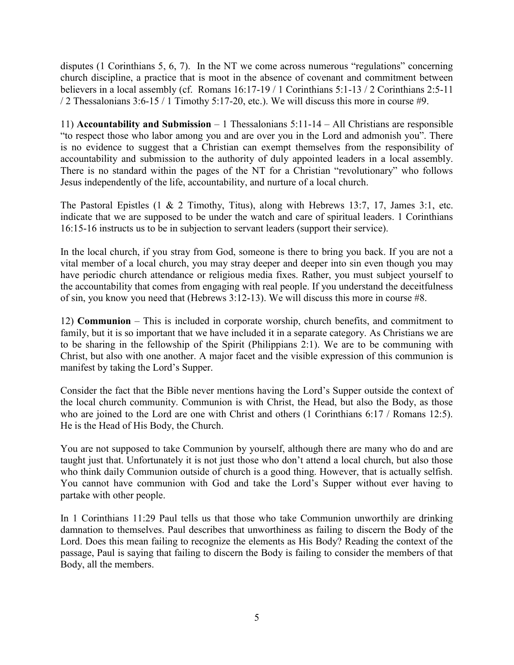disputes (1 Corinthians 5, 6, 7). In the NT we come across numerous "regulations" concerning church discipline, a practice that is moot in the absence of covenant and commitment between believers in a local assembly (cf. Romans 16:17-19 / 1 Corinthians 5:1-13 / 2 Corinthians 2:5-11 / 2 Thessalonians 3:6-15 / 1 Timothy 5:17-20, etc.). We will discuss this more in course #9.

11) **Accountability and Submission** – 1 Thessalonians 5:11-14 – All Christians are responsible "to respect those who labor among you and are over you in the Lord and admonish you". There is no evidence to suggest that a Christian can exempt themselves from the responsibility of accountability and submission to the authority of duly appointed leaders in a local assembly. There is no standard within the pages of the NT for a Christian "revolutionary" who follows Jesus independently of the life, accountability, and nurture of a local church.

The Pastoral Epistles (1 & 2 Timothy, Titus), along with Hebrews 13:7, 17, James 3:1, etc. indicate that we are supposed to be under the watch and care of spiritual leaders. 1 Corinthians 16:15-16 instructs us to be in subjection to servant leaders (support their service).

In the local church, if you stray from God, someone is there to bring you back. If you are not a vital member of a local church, you may stray deeper and deeper into sin even though you may have periodic church attendance or religious media fixes. Rather, you must subject yourself to the accountability that comes from engaging with real people. If you understand the deceitfulness of sin, you know you need that (Hebrews 3:12-13). We will discuss this more in course #8.

12) **Communion** – This is included in corporate worship, church benefits, and commitment to family, but it is so important that we have included it in a separate category. As Christians we are to be sharing in the fellowship of the Spirit (Philippians 2:1). We are to be communing with Christ, but also with one another. A major facet and the visible expression of this communion is manifest by taking the Lord's Supper.

Consider the fact that the Bible never mentions having the Lord's Supper outside the context of the local church community. Communion is with Christ, the Head, but also the Body, as those who are joined to the Lord are one with Christ and others (1 Corinthians 6:17 / Romans 12:5). He is the Head of His Body, the Church.

You are not supposed to take Communion by yourself, although there are many who do and are taught just that. Unfortunately it is not just those who don't attend a local church, but also those who think daily Communion outside of church is a good thing. However, that is actually selfish. You cannot have communion with God and take the Lord's Supper without ever having to partake with other people.

In 1 Corinthians 11:29 Paul tells us that those who take Communion unworthily are drinking damnation to themselves. Paul describes that unworthiness as failing to discern the Body of the Lord. Does this mean failing to recognize the elements as His Body? Reading the context of the passage, Paul is saying that failing to discern the Body is failing to consider the members of that Body, all the members.